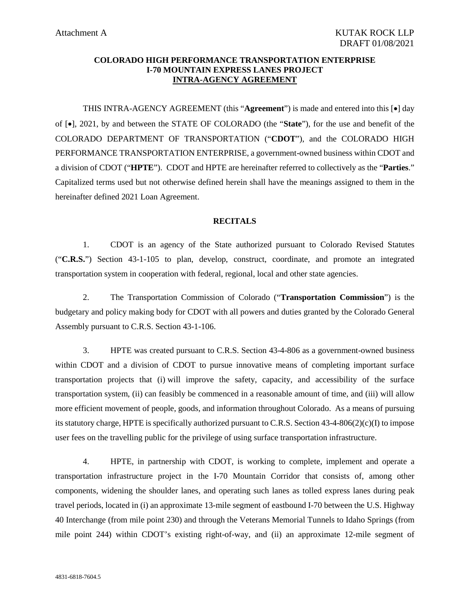#### **COLORADO HIGH PERFORMANCE TRANSPORTATION ENTERPRISE I-70 MOUNTAIN EXPRESS LANES PROJECT INTRA-AGENCY AGREEMENT**

THIS INTRA-AGENCY AGREEMENT (this "**Agreement**") is made and entered into this [•] day of [•], 2021, by and between the STATE OF COLORADO (the "**State**"), for the use and benefit of the COLORADO DEPARTMENT OF TRANSPORTATION ("**CDOT**"), and the COLORADO HIGH PERFORMANCE TRANSPORTATION ENTERPRISE, a government-owned business within CDOT and a division of CDOT ("**HPTE**"). CDOT and HPTE are hereinafter referred to collectively as the "**Parties**." Capitalized terms used but not otherwise defined herein shall have the meanings assigned to them in the hereinafter defined 2021 Loan Agreement.

#### **RECITALS**

1. CDOT is an agency of the State authorized pursuant to Colorado Revised Statutes ("**C.R.S.**") Section 43-1-105 to plan, develop, construct, coordinate, and promote an integrated transportation system in cooperation with federal, regional, local and other state agencies.

2. The Transportation Commission of Colorado ("**Transportation Commission**") is the budgetary and policy making body for CDOT with all powers and duties granted by the Colorado General Assembly pursuant to C.R.S. Section 43-1-106.

3. HPTE was created pursuant to C.R.S. Section 43-4-806 as a government-owned business within CDOT and a division of CDOT to pursue innovative means of completing important surface transportation projects that (i) will improve the safety, capacity, and accessibility of the surface transportation system, (ii) can feasibly be commenced in a reasonable amount of time, and (iii) will allow more efficient movement of people, goods, and information throughout Colorado. As a means of pursuing its statutory charge, HPTE is specifically authorized pursuant to C.R.S. Section 43-4-806(2)(c)(I) to impose user fees on the travelling public for the privilege of using surface transportation infrastructure.

4. HPTE, in partnership with CDOT, is working to complete, implement and operate a transportation infrastructure project in the I-70 Mountain Corridor that consists of, among other components, widening the shoulder lanes, and operating such lanes as tolled express lanes during peak travel periods, located in (i) an approximate 13-mile segment of eastbound I-70 between the U.S. Highway 40 Interchange (from mile point 230) and through the Veterans Memorial Tunnels to Idaho Springs (from mile point 244) within CDOT's existing right-of-way, and (ii) an approximate 12-mile segment of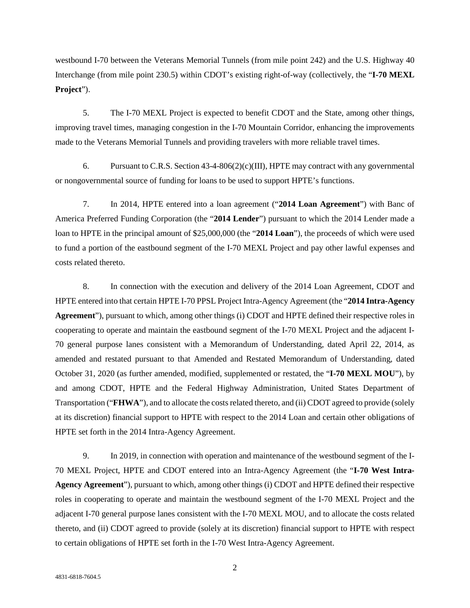westbound I-70 between the Veterans Memorial Tunnels (from mile point 242) and the U.S. Highway 40 Interchange (from mile point 230.5) within CDOT's existing right-of-way (collectively, the "**I-70 MEXL Project**").

5. The I-70 MEXL Project is expected to benefit CDOT and the State, among other things, improving travel times, managing congestion in the I-70 Mountain Corridor, enhancing the improvements made to the Veterans Memorial Tunnels and providing travelers with more reliable travel times.

6. Pursuant to C.R.S. Section  $43-4-806(2)(c)(III)$ , HPTE may contract with any governmental or nongovernmental source of funding for loans to be used to support HPTE's functions.

7. In 2014, HPTE entered into a loan agreement ("**2014 Loan Agreement**") with Banc of America Preferred Funding Corporation (the "**2014 Lender**") pursuant to which the 2014 Lender made a loan to HPTE in the principal amount of \$25,000,000 (the "**2014 Loan**"), the proceeds of which were used to fund a portion of the eastbound segment of the I-70 MEXL Project and pay other lawful expenses and costs related thereto.

8. In connection with the execution and delivery of the 2014 Loan Agreement, CDOT and HPTE entered into that certain HPTE I-70 PPSL Project Intra-Agency Agreement (the "**2014 Intra-Agency Agreement**"), pursuant to which, among other things (i) CDOT and HPTE defined their respective roles in cooperating to operate and maintain the eastbound segment of the I-70 MEXL Project and the adjacent I-70 general purpose lanes consistent with a Memorandum of Understanding, dated April 22, 2014, as amended and restated pursuant to that Amended and Restated Memorandum of Understanding, dated October 31, 2020 (as further amended, modified, supplemented or restated, the "**I-70 MEXL MOU**"), by and among CDOT, HPTE and the Federal Highway Administration, United States Department of Transportation ("**FHWA**"), and to allocate the costs related thereto, and (ii) CDOT agreed to provide (solely at its discretion) financial support to HPTE with respect to the 2014 Loan and certain other obligations of HPTE set forth in the 2014 Intra-Agency Agreement.

9. In 2019, in connection with operation and maintenance of the westbound segment of the I-70 MEXL Project, HPTE and CDOT entered into an Intra-Agency Agreement (the "**I-70 West Intra-Agency Agreement**"), pursuant to which, among other things (i) CDOT and HPTE defined their respective roles in cooperating to operate and maintain the westbound segment of the I-70 MEXL Project and the adjacent I-70 general purpose lanes consistent with the I-70 MEXL MOU, and to allocate the costs related thereto, and (ii) CDOT agreed to provide (solely at its discretion) financial support to HPTE with respect to certain obligations of HPTE set forth in the I-70 West Intra-Agency Agreement.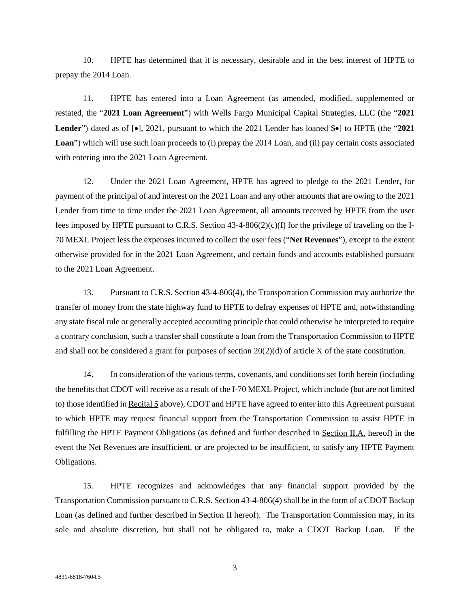10. HPTE has determined that it is necessary, desirable and in the best interest of HPTE to prepay the 2014 Loan.

11. HPTE has entered into a Loan Agreement (as amended, modified, supplemented or restated, the "**2021 Loan Agreement**") with Wells Fargo Municipal Capital Strategies, LLC (the "**2021 Lender**") dated as of [•], 2021, pursuant to which the 2021 Lender has loaned \$•] to HPTE (the "**2021**  Loan<sup>"</sup>) which will use such loan proceeds to (i) prepay the 2014 Loan, and (ii) pay certain costs associated with entering into the 2021 Loan Agreement.

12. Under the 2021 Loan Agreement, HPTE has agreed to pledge to the 2021 Lender, for payment of the principal of and interest on the 2021 Loan and any other amounts that are owing to the 2021 Lender from time to time under the 2021 Loan Agreement, all amounts received by HPTE from the user fees imposed by HPTE pursuant to C.R.S. Section  $43-4-806(2)(c)$  for the privilege of traveling on the I-70 MEXL Project less the expenses incurred to collect the user fees ("**Net Revenues**"), except to the extent otherwise provided for in the 2021 Loan Agreement, and certain funds and accounts established pursuant to the 2021 Loan Agreement.

13. Pursuant to C.R.S. Section 43-4-806(4), the Transportation Commission may authorize the transfer of money from the state highway fund to HPTE to defray expenses of HPTE and, notwithstanding any state fiscal rule or generally accepted accounting principle that could otherwise be interpreted to require a contrary conclusion, such a transfer shall constitute a loan from the Transportation Commission to HPTE and shall not be considered a grant for purposes of section  $20(2)(d)$  of article X of the state constitution.

14. In consideration of the various terms, covenants, and conditions set forth herein (including the benefits that CDOT will receive as a result of the I-70 MEXL Project, which include (but are not limited to) those identified in Recital 5 above), CDOT and HPTE have agreed to enter into this Agreement pursuant to which HPTE may request financial support from the Transportation Commission to assist HPTE in fulfilling the HPTE Payment Obligations (as defined and further described in Section II.A. hereof) in the event the Net Revenues are insufficient, or are projected to be insufficient, to satisfy any HPTE Payment Obligations.

15. HPTE recognizes and acknowledges that any financial support provided by the Transportation Commission pursuant to C.R.S. Section 43-4-806(4) shall be in the form of a CDOT Backup Loan (as defined and further described in Section II hereof). The Transportation Commission may, in its sole and absolute discretion, but shall not be obligated to, make a CDOT Backup Loan. If the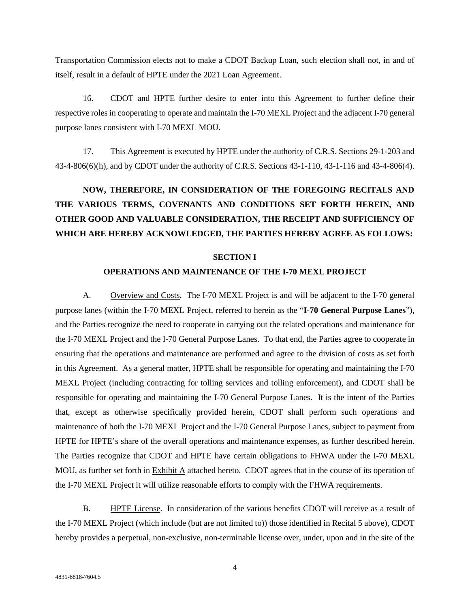Transportation Commission elects not to make a CDOT Backup Loan, such election shall not, in and of itself, result in a default of HPTE under the 2021 Loan Agreement.

16. CDOT and HPTE further desire to enter into this Agreement to further define their respective roles in cooperating to operate and maintain the I-70 MEXL Project and the adjacent I-70 general purpose lanes consistent with I-70 MEXL MOU.

17. This Agreement is executed by HPTE under the authority of C.R.S. Sections 29-1-203 and 43-4-806(6)(h), and by CDOT under the authority of C.R.S. Sections 43-1-110, 43-1-116 and 43-4-806(4).

# **NOW, THEREFORE, IN CONSIDERATION OF THE FOREGOING RECITALS AND THE VARIOUS TERMS, COVENANTS AND CONDITIONS SET FORTH HEREIN, AND OTHER GOOD AND VALUABLE CONSIDERATION, THE RECEIPT AND SUFFICIENCY OF WHICH ARE HEREBY ACKNOWLEDGED, THE PARTIES HEREBY AGREE AS FOLLOWS:**

#### **SECTION I**

#### **OPERATIONS AND MAINTENANCE OF THE I-70 MEXL PROJECT**

A. Overview and Costs. The I-70 MEXL Project is and will be adjacent to the I-70 general purpose lanes (within the I-70 MEXL Project, referred to herein as the "**I-70 General Purpose Lanes**"), and the Parties recognize the need to cooperate in carrying out the related operations and maintenance for the I-70 MEXL Project and the I-70 General Purpose Lanes. To that end, the Parties agree to cooperate in ensuring that the operations and maintenance are performed and agree to the division of costs as set forth in this Agreement. As a general matter, HPTE shall be responsible for operating and maintaining the I-70 MEXL Project (including contracting for tolling services and tolling enforcement), and CDOT shall be responsible for operating and maintaining the I-70 General Purpose Lanes. It is the intent of the Parties that, except as otherwise specifically provided herein, CDOT shall perform such operations and maintenance of both the I-70 MEXL Project and the I-70 General Purpose Lanes, subject to payment from HPTE for HPTE's share of the overall operations and maintenance expenses, as further described herein. The Parties recognize that CDOT and HPTE have certain obligations to FHWA under the I-70 MEXL MOU, as further set forth in Exhibit A attached hereto. CDOT agrees that in the course of its operation of the I-70 MEXL Project it will utilize reasonable efforts to comply with the FHWA requirements.

B. HPTE License. In consideration of the various benefits CDOT will receive as a result of the I-70 MEXL Project (which include (but are not limited to)) those identified in Recital 5 above), CDOT hereby provides a perpetual, non-exclusive, non-terminable license over, under, upon and in the site of the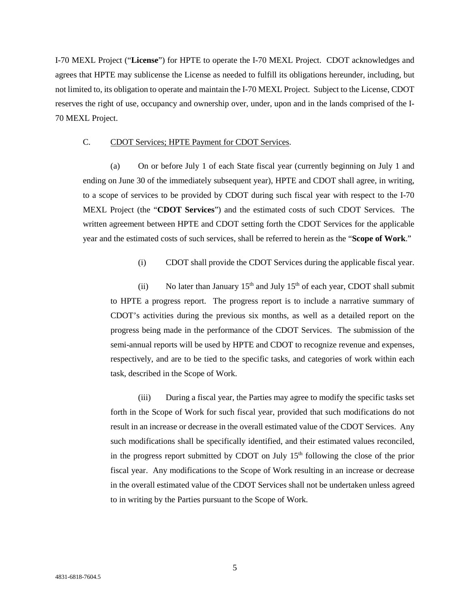I-70 MEXL Project ("**License**") for HPTE to operate the I-70 MEXL Project. CDOT acknowledges and agrees that HPTE may sublicense the License as needed to fulfill its obligations hereunder, including, but not limited to, its obligation to operate and maintain the I-70 MEXL Project. Subject to the License, CDOT reserves the right of use, occupancy and ownership over, under, upon and in the lands comprised of the I-70 MEXL Project.

#### C. CDOT Services; HPTE Payment for CDOT Services.

(a) On or before July 1 of each State fiscal year (currently beginning on July 1 and ending on June 30 of the immediately subsequent year), HPTE and CDOT shall agree, in writing, to a scope of services to be provided by CDOT during such fiscal year with respect to the I-70 MEXL Project (the "**CDOT Services**") and the estimated costs of such CDOT Services. The written agreement between HPTE and CDOT setting forth the CDOT Services for the applicable year and the estimated costs of such services, shall be referred to herein as the "**Scope of Work**."

(i) CDOT shall provide the CDOT Services during the applicable fiscal year.

(ii) No later than January  $15<sup>th</sup>$  and July  $15<sup>th</sup>$  of each year, CDOT shall submit to HPTE a progress report. The progress report is to include a narrative summary of CDOT's activities during the previous six months, as well as a detailed report on the progress being made in the performance of the CDOT Services. The submission of the semi-annual reports will be used by HPTE and CDOT to recognize revenue and expenses, respectively, and are to be tied to the specific tasks, and categories of work within each task, described in the Scope of Work.

(iii) During a fiscal year, the Parties may agree to modify the specific tasks set forth in the Scope of Work for such fiscal year, provided that such modifications do not result in an increase or decrease in the overall estimated value of the CDOT Services. Any such modifications shall be specifically identified, and their estimated values reconciled, in the progress report submitted by CDOT on July  $15<sup>th</sup>$  following the close of the prior fiscal year. Any modifications to the Scope of Work resulting in an increase or decrease in the overall estimated value of the CDOT Services shall not be undertaken unless agreed to in writing by the Parties pursuant to the Scope of Work.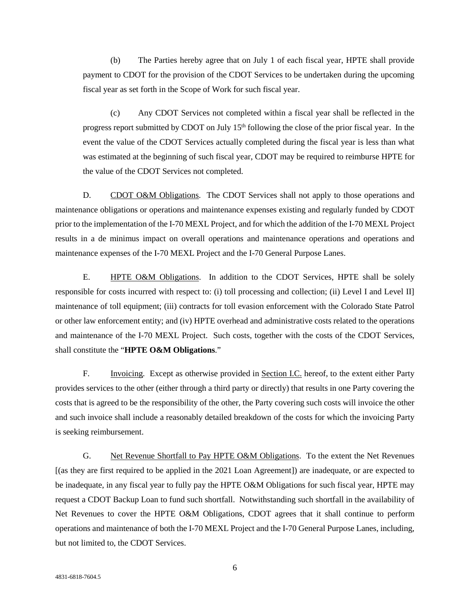(b) The Parties hereby agree that on July 1 of each fiscal year, HPTE shall provide payment to CDOT for the provision of the CDOT Services to be undertaken during the upcoming fiscal year as set forth in the Scope of Work for such fiscal year.

(c) Any CDOT Services not completed within a fiscal year shall be reflected in the progress report submitted by CDOT on July  $15<sup>th</sup>$  following the close of the prior fiscal year. In the event the value of the CDOT Services actually completed during the fiscal year is less than what was estimated at the beginning of such fiscal year, CDOT may be required to reimburse HPTE for the value of the CDOT Services not completed.

D. CDOT O&M Obligations. The CDOT Services shall not apply to those operations and maintenance obligations or operations and maintenance expenses existing and regularly funded by CDOT prior to the implementation of the I-70 MEXL Project, and for which the addition of the I-70 MEXL Project results in a de minimus impact on overall operations and maintenance operations and operations and maintenance expenses of the I-70 MEXL Project and the I-70 General Purpose Lanes.

E. HPTE O&M Obligations. In addition to the CDOT Services, HPTE shall be solely responsible for costs incurred with respect to: (i) toll processing and collection; (ii) Level I and Level II] maintenance of toll equipment; (iii) contracts for toll evasion enforcement with the Colorado State Patrol or other law enforcement entity; and (iv) HPTE overhead and administrative costs related to the operations and maintenance of the I-70 MEXL Project. Such costs, together with the costs of the CDOT Services, shall constitute the "**HPTE O&M Obligations**."

F. Invoicing. Except as otherwise provided in Section I.C. hereof, to the extent either Party provides services to the other (either through a third party or directly) that results in one Party covering the costs that is agreed to be the responsibility of the other, the Party covering such costs will invoice the other and such invoice shall include a reasonably detailed breakdown of the costs for which the invoicing Party is seeking reimbursement.

G. Net Revenue Shortfall to Pay HPTE O&M Obligations. To the extent the Net Revenues [(as they are first required to be applied in the 2021 Loan Agreement]) are inadequate, or are expected to be inadequate, in any fiscal year to fully pay the HPTE O&M Obligations for such fiscal year, HPTE may request a CDOT Backup Loan to fund such shortfall. Notwithstanding such shortfall in the availability of Net Revenues to cover the HPTE O&M Obligations, CDOT agrees that it shall continue to perform operations and maintenance of both the I-70 MEXL Project and the I-70 General Purpose Lanes, including, but not limited to, the CDOT Services.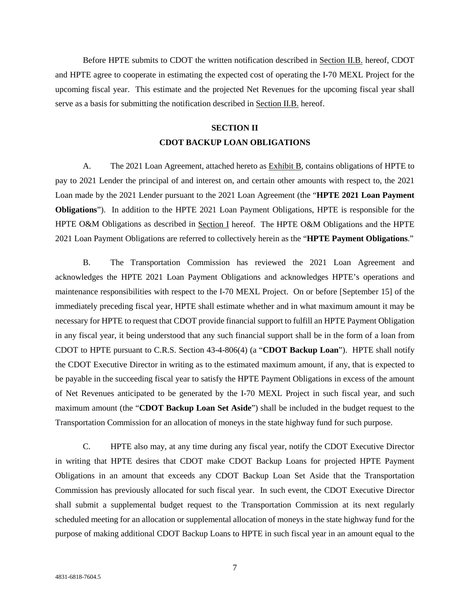Before HPTE submits to CDOT the written notification described in Section II.B. hereof, CDOT and HPTE agree to cooperate in estimating the expected cost of operating the I-70 MEXL Project for the upcoming fiscal year. This estimate and the projected Net Revenues for the upcoming fiscal year shall serve as a basis for submitting the notification described in Section II.B. hereof.

## **SECTION II CDOT BACKUP LOAN OBLIGATIONS**

A. The 2021 Loan Agreement, attached hereto as Exhibit B, contains obligations of HPTE to pay to 2021 Lender the principal of and interest on, and certain other amounts with respect to, the 2021 Loan made by the 2021 Lender pursuant to the 2021 Loan Agreement (the "**HPTE 2021 Loan Payment Obligations**"). In addition to the HPTE 2021 Loan Payment Obligations, HPTE is responsible for the HPTE O&M Obligations as described in Section I hereof. The HPTE O&M Obligations and the HPTE 2021 Loan Payment Obligations are referred to collectively herein as the "**HPTE Payment Obligations**."

B. The Transportation Commission has reviewed the 2021 Loan Agreement and acknowledges the HPTE 2021 Loan Payment Obligations and acknowledges HPTE's operations and maintenance responsibilities with respect to the I-70 MEXL Project. On or before [September 15] of the immediately preceding fiscal year, HPTE shall estimate whether and in what maximum amount it may be necessary for HPTE to request that CDOT provide financial support to fulfill an HPTE Payment Obligation in any fiscal year, it being understood that any such financial support shall be in the form of a loan from CDOT to HPTE pursuant to C.R.S. Section 43-4-806(4) (a "**CDOT Backup Loan**"). HPTE shall notify the CDOT Executive Director in writing as to the estimated maximum amount, if any, that is expected to be payable in the succeeding fiscal year to satisfy the HPTE Payment Obligations in excess of the amount of Net Revenues anticipated to be generated by the I-70 MEXL Project in such fiscal year, and such maximum amount (the "**CDOT Backup Loan Set Aside**") shall be included in the budget request to the Transportation Commission for an allocation of moneys in the state highway fund for such purpose.

C. HPTE also may, at any time during any fiscal year, notify the CDOT Executive Director in writing that HPTE desires that CDOT make CDOT Backup Loans for projected HPTE Payment Obligations in an amount that exceeds any CDOT Backup Loan Set Aside that the Transportation Commission has previously allocated for such fiscal year. In such event, the CDOT Executive Director shall submit a supplemental budget request to the Transportation Commission at its next regularly scheduled meeting for an allocation or supplemental allocation of moneys in the state highway fund for the purpose of making additional CDOT Backup Loans to HPTE in such fiscal year in an amount equal to the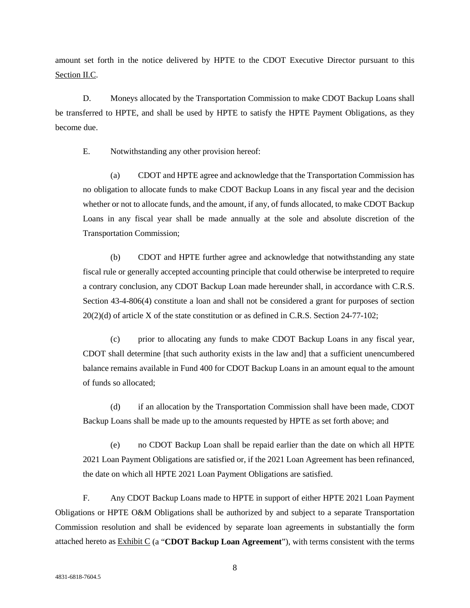amount set forth in the notice delivered by HPTE to the CDOT Executive Director pursuant to this Section II.C.

D. Moneys allocated by the Transportation Commission to make CDOT Backup Loans shall be transferred to HPTE, and shall be used by HPTE to satisfy the HPTE Payment Obligations, as they become due.

E. Notwithstanding any other provision hereof:

(a) CDOT and HPTE agree and acknowledge that the Transportation Commission has no obligation to allocate funds to make CDOT Backup Loans in any fiscal year and the decision whether or not to allocate funds, and the amount, if any, of funds allocated, to make CDOT Backup Loans in any fiscal year shall be made annually at the sole and absolute discretion of the Transportation Commission;

(b) CDOT and HPTE further agree and acknowledge that notwithstanding any state fiscal rule or generally accepted accounting principle that could otherwise be interpreted to require a contrary conclusion, any CDOT Backup Loan made hereunder shall, in accordance with C.R.S. Section 43-4-806(4) constitute a loan and shall not be considered a grant for purposes of section 20(2)(d) of article X of the state constitution or as defined in C.R.S. Section 24-77-102;

(c) prior to allocating any funds to make CDOT Backup Loans in any fiscal year, CDOT shall determine [that such authority exists in the law and] that a sufficient unencumbered balance remains available in Fund 400 for CDOT Backup Loans in an amount equal to the amount of funds so allocated;

(d) if an allocation by the Transportation Commission shall have been made, CDOT Backup Loans shall be made up to the amounts requested by HPTE as set forth above; and

(e) no CDOT Backup Loan shall be repaid earlier than the date on which all HPTE 2021 Loan Payment Obligations are satisfied or, if the 2021 Loan Agreement has been refinanced, the date on which all HPTE 2021 Loan Payment Obligations are satisfied.

F. Any CDOT Backup Loans made to HPTE in support of either HPTE 2021 Loan Payment Obligations or HPTE O&M Obligations shall be authorized by and subject to a separate Transportation Commission resolution and shall be evidenced by separate loan agreements in substantially the form attached hereto as Exhibit C (a "**CDOT Backup Loan Agreement**"), with terms consistent with the terms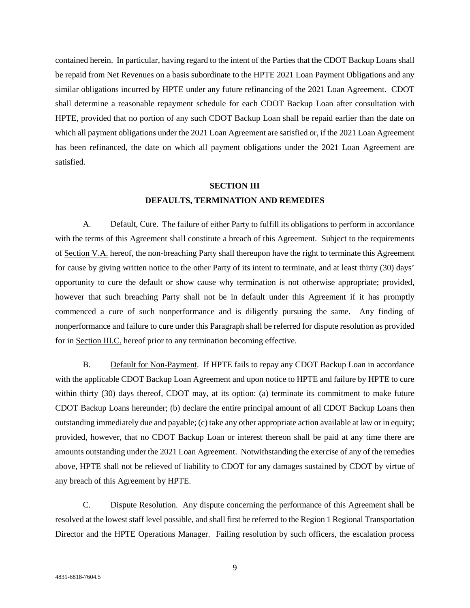contained herein. In particular, having regard to the intent of the Parties that the CDOT Backup Loans shall be repaid from Net Revenues on a basis subordinate to the HPTE 2021 Loan Payment Obligations and any similar obligations incurred by HPTE under any future refinancing of the 2021 Loan Agreement. CDOT shall determine a reasonable repayment schedule for each CDOT Backup Loan after consultation with HPTE, provided that no portion of any such CDOT Backup Loan shall be repaid earlier than the date on which all payment obligations under the 2021 Loan Agreement are satisfied or, if the 2021 Loan Agreement has been refinanced, the date on which all payment obligations under the 2021 Loan Agreement are satisfied.

## **SECTION III DEFAULTS, TERMINATION AND REMEDIES**

A. Default, Cure. The failure of either Party to fulfill its obligations to perform in accordance with the terms of this Agreement shall constitute a breach of this Agreement. Subject to the requirements of Section V.A. hereof, the non-breaching Party shall thereupon have the right to terminate this Agreement for cause by giving written notice to the other Party of its intent to terminate, and at least thirty (30) days' opportunity to cure the default or show cause why termination is not otherwise appropriate; provided, however that such breaching Party shall not be in default under this Agreement if it has promptly commenced a cure of such nonperformance and is diligently pursuing the same. Any finding of nonperformance and failure to cure under this Paragraph shall be referred for dispute resolution as provided for in Section III.C. hereof prior to any termination becoming effective.

B. Default for Non-Payment. If HPTE fails to repay any CDOT Backup Loan in accordance with the applicable CDOT Backup Loan Agreement and upon notice to HPTE and failure by HPTE to cure within thirty (30) days thereof, CDOT may, at its option: (a) terminate its commitment to make future CDOT Backup Loans hereunder; (b) declare the entire principal amount of all CDOT Backup Loans then outstanding immediately due and payable; (c) take any other appropriate action available at law or in equity; provided, however, that no CDOT Backup Loan or interest thereon shall be paid at any time there are amounts outstanding under the 2021 Loan Agreement. Notwithstanding the exercise of any of the remedies above, HPTE shall not be relieved of liability to CDOT for any damages sustained by CDOT by virtue of any breach of this Agreement by HPTE.

C. Dispute Resolution. Any dispute concerning the performance of this Agreement shall be resolved at the lowest staff level possible, and shall first be referred to the Region 1 Regional Transportation Director and the HPTE Operations Manager. Failing resolution by such officers, the escalation process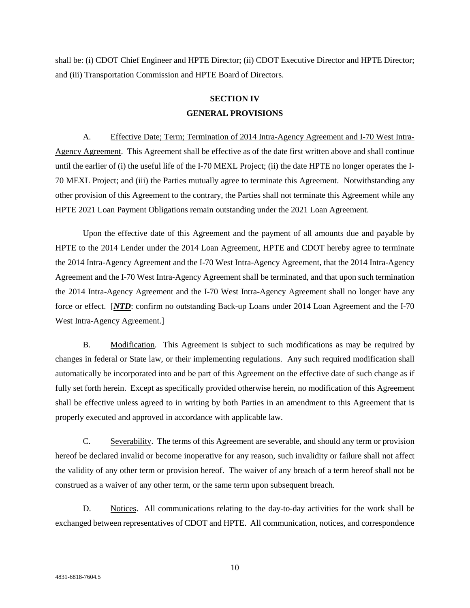shall be: (i) CDOT Chief Engineer and HPTE Director; (ii) CDOT Executive Director and HPTE Director; and (iii) Transportation Commission and HPTE Board of Directors.

## **SECTION IV GENERAL PROVISIONS**

A. Effective Date; Term; Termination of 2014 Intra-Agency Agreement and I-70 West Intra-Agency Agreement. This Agreement shall be effective as of the date first written above and shall continue until the earlier of (i) the useful life of the I-70 MEXL Project; (ii) the date HPTE no longer operates the I-70 MEXL Project; and (iii) the Parties mutually agree to terminate this Agreement. Notwithstanding any other provision of this Agreement to the contrary, the Parties shall not terminate this Agreement while any HPTE 2021 Loan Payment Obligations remain outstanding under the 2021 Loan Agreement.

Upon the effective date of this Agreement and the payment of all amounts due and payable by HPTE to the 2014 Lender under the 2014 Loan Agreement, HPTE and CDOT hereby agree to terminate the 2014 Intra-Agency Agreement and the I-70 West Intra-Agency Agreement, that the 2014 Intra-Agency Agreement and the I-70 West Intra-Agency Agreement shall be terminated, and that upon such termination the 2014 Intra-Agency Agreement and the I-70 West Intra-Agency Agreement shall no longer have any force or effect. [*NTD*: confirm no outstanding Back-up Loans under 2014 Loan Agreement and the I-70 West Intra-Agency Agreement.]

B. Modification. This Agreement is subject to such modifications as may be required by changes in federal or State law, or their implementing regulations. Any such required modification shall automatically be incorporated into and be part of this Agreement on the effective date of such change as if fully set forth herein. Except as specifically provided otherwise herein, no modification of this Agreement shall be effective unless agreed to in writing by both Parties in an amendment to this Agreement that is properly executed and approved in accordance with applicable law.

C. Severability. The terms of this Agreement are severable, and should any term or provision hereof be declared invalid or become inoperative for any reason, such invalidity or failure shall not affect the validity of any other term or provision hereof. The waiver of any breach of a term hereof shall not be construed as a waiver of any other term, or the same term upon subsequent breach.

D. Notices. All communications relating to the day-to-day activities for the work shall be exchanged between representatives of CDOT and HPTE. All communication, notices, and correspondence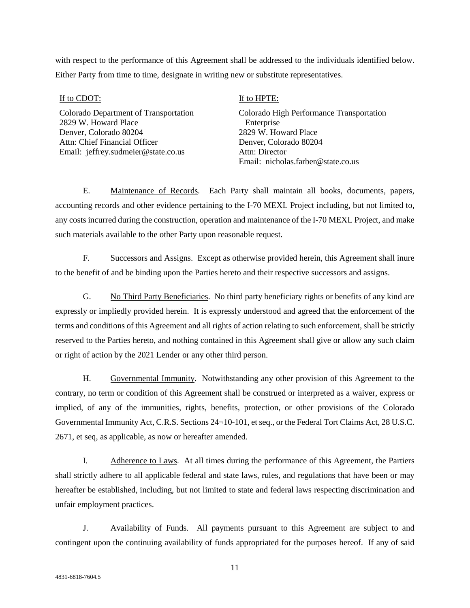with respect to the performance of this Agreement shall be addressed to the individuals identified below. Either Party from time to time, designate in writing new or substitute representatives.

If to CDOT:

Colorado Department of Transportation 2829 W. Howard Place Denver, Colorado 80204 Attn: Chief Financial Officer Email: jeffrey.sudmeier@state.co.us

If to HPTE:

Colorado High Performance Transportation Enterprise 2829 W. Howard Place Denver, Colorado 80204 Attn: Director Email: nicholas.farber@state.co.us

E. Maintenance of Records. Each Party shall maintain all books, documents, papers, accounting records and other evidence pertaining to the I-70 MEXL Project including, but not limited to, any costs incurred during the construction, operation and maintenance of the I-70 MEXL Project, and make such materials available to the other Party upon reasonable request.

F. Successors and Assigns. Except as otherwise provided herein, this Agreement shall inure to the benefit of and be binding upon the Parties hereto and their respective successors and assigns.

G. No Third Party Beneficiaries. No third party beneficiary rights or benefits of any kind are expressly or impliedly provided herein. It is expressly understood and agreed that the enforcement of the terms and conditions of this Agreement and all rights of action relating to such enforcement, shall be strictly reserved to the Parties hereto, and nothing contained in this Agreement shall give or allow any such claim or right of action by the 2021 Lender or any other third person.

H. Governmental Immunity. Notwithstanding any other provision of this Agreement to the contrary, no term or condition of this Agreement shall be construed or interpreted as a waiver, express or implied, of any of the immunities, rights, benefits, protection, or other provisions of the Colorado Governmental Immunity Act, C.R.S. Sections 24¬10-101, et seq., or the Federal Tort Claims Act, 28 U.S.C. 2671, et seq, as applicable, as now or hereafter amended.

I. Adherence to Laws. At all times during the performance of this Agreement, the Partiers shall strictly adhere to all applicable federal and state laws, rules, and regulations that have been or may hereafter be established, including, but not limited to state and federal laws respecting discrimination and unfair employment practices.

J. Availability of Funds. All payments pursuant to this Agreement are subject to and contingent upon the continuing availability of funds appropriated for the purposes hereof. If any of said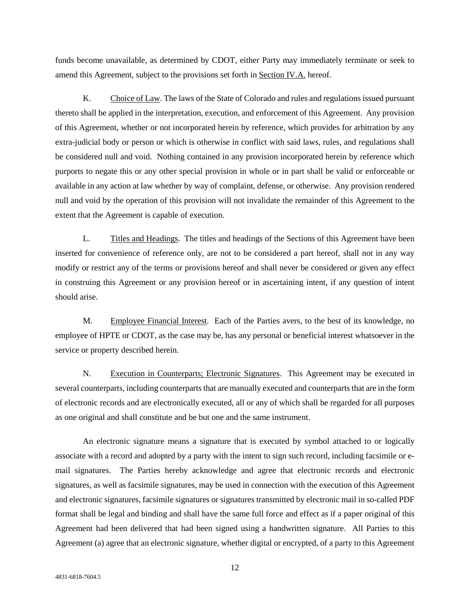funds become unavailable, as determined by CDOT, either Party may immediately terminate or seek to amend this Agreement, subject to the provisions set forth in Section IV.A. hereof.

K. Choice of Law. The laws of the State of Colorado and rules and regulations issued pursuant thereto shall be applied in the interpretation, execution, and enforcement of this Agreement. Any provision of this Agreement, whether or not incorporated herein by reference, which provides for arbitration by any extra-judicial body or person or which is otherwise in conflict with said laws, rules, and regulations shall be considered null and void. Nothing contained in any provision incorporated herein by reference which purports to negate this or any other special provision in whole or in part shall be valid or enforceable or available in any action at law whether by way of complaint, defense, or otherwise. Any provision rendered null and void by the operation of this provision will not invalidate the remainder of this Agreement to the extent that the Agreement is capable of execution.

L. Titles and Headings. The titles and headings of the Sections of this Agreement have been inserted for convenience of reference only, are not to be considered a part hereof, shall not in any way modify or restrict any of the terms or provisions hereof and shall never be considered or given any effect in construing this Agreement or any provision hereof or in ascertaining intent, if any question of intent should arise.

M. Employee Financial Interest. Each of the Parties avers, to the best of its knowledge, no employee of HPTE or CDOT, as the case may be, has any personal or beneficial interest whatsoever in the service or property described herein.

N. Execution in Counterparts; Electronic Signatures. This Agreement may be executed in several counterparts, including counterparts that are manually executed and counterparts that are in the form of electronic records and are electronically executed, all or any of which shall be regarded for all purposes as one original and shall constitute and be but one and the same instrument.

An electronic signature means a signature that is executed by symbol attached to or logically associate with a record and adopted by a party with the intent to sign such record, including facsimile or email signatures. The Parties hereby acknowledge and agree that electronic records and electronic signatures, as well as facsimile signatures, may be used in connection with the execution of this Agreement and electronic signatures, facsimile signatures or signatures transmitted by electronic mail in so-called PDF format shall be legal and binding and shall have the same full force and effect as if a paper original of this Agreement had been delivered that had been signed using a handwritten signature. All Parties to this Agreement (a) agree that an electronic signature, whether digital or encrypted, of a party to this Agreement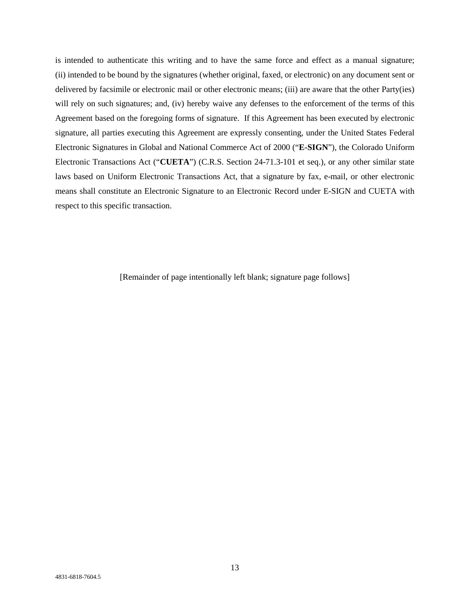is intended to authenticate this writing and to have the same force and effect as a manual signature; (ii) intended to be bound by the signatures (whether original, faxed, or electronic) on any document sent or delivered by facsimile or electronic mail or other electronic means; (iii) are aware that the other Party(ies) will rely on such signatures; and, (iv) hereby waive any defenses to the enforcement of the terms of this Agreement based on the foregoing forms of signature. If this Agreement has been executed by electronic signature, all parties executing this Agreement are expressly consenting, under the United States Federal Electronic Signatures in Global and National Commerce Act of 2000 ("**E-SIGN**"), the Colorado Uniform Electronic Transactions Act ("**CUETA**") (C.R.S. Section 24-71.3-101 et seq.), or any other similar state laws based on Uniform Electronic Transactions Act, that a signature by fax, e-mail, or other electronic means shall constitute an Electronic Signature to an Electronic Record under E-SIGN and CUETA with respect to this specific transaction.

[Remainder of page intentionally left blank; signature page follows]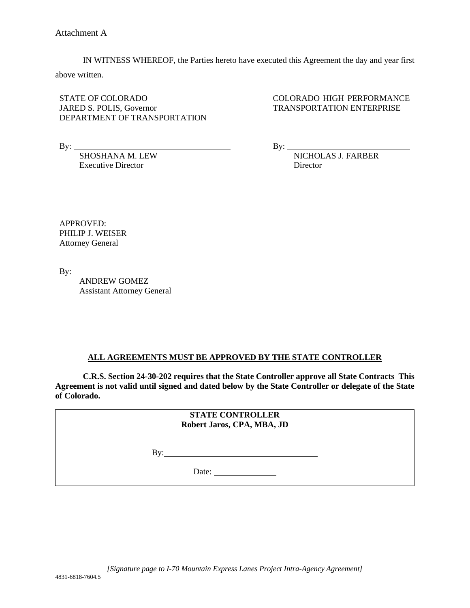IN WITNESS WHEREOF, the Parties hereto have executed this Agreement the day and year first

above written.

STATE OF COLORADO JARED S. POLIS, Governor DEPARTMENT OF TRANSPORTATION

By:

SHOSHANA M. LEW Executive Director

COLORADO HIGH PERFORMANCE TRANSPORTATION ENTERPRISE

By:  $\overline{\phantom{a}}$ 

NICHOLAS J. FARBER Director

APPROVED: PHILIP J. WEISER Attorney General

 $By:$ 

ANDREW GOMEZ Assistant Attorney General

### **ALL AGREEMENTS MUST BE APPROVED BY THE STATE CONTROLLER**

**C.R.S. Section 24-30-202 requires that the State Controller approve all State Contracts This Agreement is not valid until signed and dated below by the State Controller or delegate of the State of Colorado.**

> **STATE CONTROLLER Robert Jaros, CPA, MBA, JD**

 $By:$ 

Date: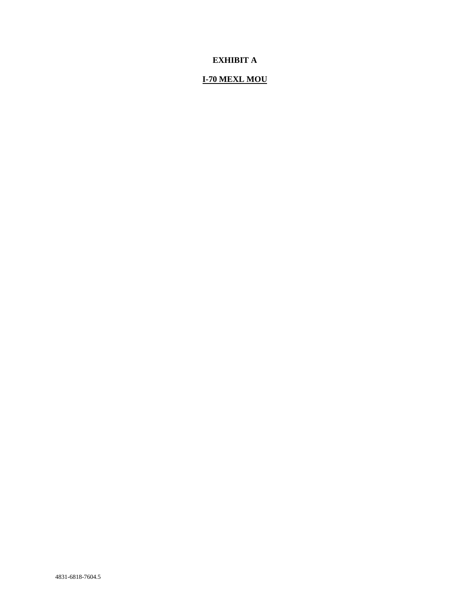### **EXHIBIT A**

## **I-70 MEXL MOU**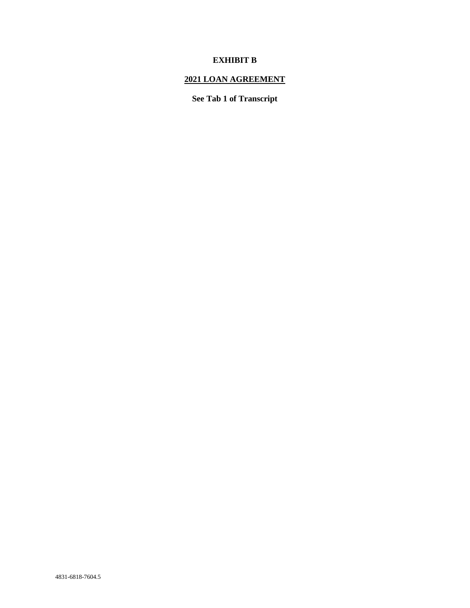### **EXHIBIT B**

## **2021 LOAN AGREEMENT**

**See Tab 1 of Transcript**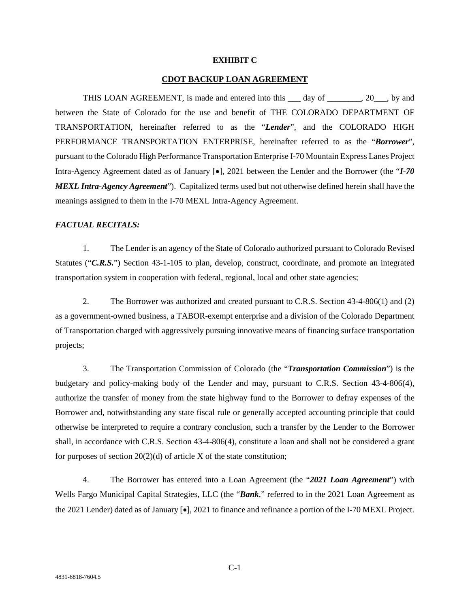#### **EXHIBIT C**

#### **CDOT BACKUP LOAN AGREEMENT**

THIS LOAN AGREEMENT, is made and entered into this day of  $\qquad \qquad$ , 20, by and between the State of Colorado for the use and benefit of THE COLORADO DEPARTMENT OF TRANSPORTATION, hereinafter referred to as the "*Lender*", and the COLORADO HIGH PERFORMANCE TRANSPORTATION ENTERPRISE, hereinafter referred to as the "*Borrower*", pursuant to the Colorado High Performance Transportation Enterprise I-70 Mountain Express Lanes Project Intra-Agency Agreement dated as of January [•], 2021 between the Lender and the Borrower (the "*I-70 MEXL Intra-Agency Agreement*"). Capitalized terms used but not otherwise defined herein shall have the meanings assigned to them in the I-70 MEXL Intra-Agency Agreement.

#### *FACTUAL RECITALS:*

1. The Lender is an agency of the State of Colorado authorized pursuant to Colorado Revised Statutes ("*C.R.S.*") Section 43-1-105 to plan, develop, construct, coordinate, and promote an integrated transportation system in cooperation with federal, regional, local and other state agencies;

2. The Borrower was authorized and created pursuant to C.R.S. Section 43-4-806(1) and (2) as a government-owned business, a TABOR-exempt enterprise and a division of the Colorado Department of Transportation charged with aggressively pursuing innovative means of financing surface transportation projects;

3. The Transportation Commission of Colorado (the "*Transportation Commission*") is the budgetary and policy-making body of the Lender and may, pursuant to C.R.S. Section 43-4-806(4), authorize the transfer of money from the state highway fund to the Borrower to defray expenses of the Borrower and, notwithstanding any state fiscal rule or generally accepted accounting principle that could otherwise be interpreted to require a contrary conclusion, such a transfer by the Lender to the Borrower shall, in accordance with C.R.S. Section 43-4-806(4), constitute a loan and shall not be considered a grant for purposes of section  $20(2)(d)$  of article X of the state constitution;

4. The Borrower has entered into a Loan Agreement (the "*2021 Loan Agreement*") with Wells Fargo Municipal Capital Strategies, LLC (the "*Bank*," referred to in the 2021 Loan Agreement as the 2021 Lender) dated as of January [•], 2021 to finance and refinance a portion of the I-70 MEXL Project.

 $C-1$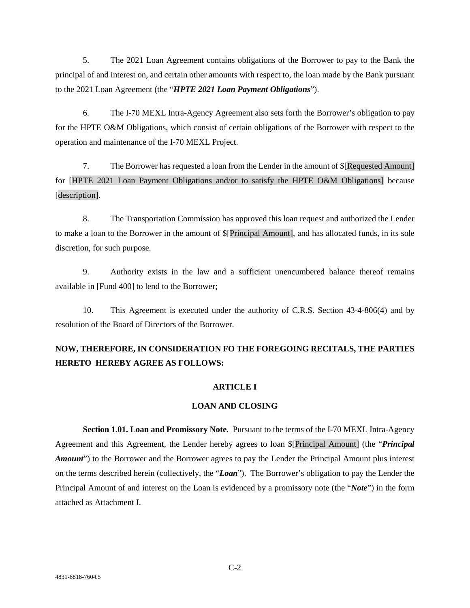5. The 2021 Loan Agreement contains obligations of the Borrower to pay to the Bank the principal of and interest on, and certain other amounts with respect to, the loan made by the Bank pursuant to the 2021 Loan Agreement (the "*HPTE 2021 Loan Payment Obligations*").

6. The I-70 MEXL Intra-Agency Agreement also sets forth the Borrower's obligation to pay for the HPTE O&M Obligations, which consist of certain obligations of the Borrower with respect to the operation and maintenance of the I-70 MEXL Project.

7. The Borrower has requested a loan from the Lender in the amount of \$[Requested Amount] for [HPTE 2021 Loan Payment Obligations and/or to satisfy the HPTE O&M Obligations] because [description].

8. The Transportation Commission has approved this loan request and authorized the Lender to make a loan to the Borrower in the amount of \$[Principal Amount], and has allocated funds, in its sole discretion, for such purpose.

9. Authority exists in the law and a sufficient unencumbered balance thereof remains available in [Fund 400] to lend to the Borrower;

10. This Agreement is executed under the authority of C.R.S. Section 43-4-806(4) and by resolution of the Board of Directors of the Borrower.

## **NOW, THEREFORE, IN CONSIDERATION FO THE FOREGOING RECITALS, THE PARTIES HERETO HEREBY AGREE AS FOLLOWS:**

#### **ARTICLE I**

#### **LOAN AND CLOSING**

**Section 1.01. Loan and Promissory Note**. Pursuant to the terms of the I-70 MEXL Intra-Agency Agreement and this Agreement, the Lender hereby agrees to loan \$[Principal Amount] (the "*Principal Amount*") to the Borrower and the Borrower agrees to pay the Lender the Principal Amount plus interest on the terms described herein (collectively, the "*Loan*"). The Borrower's obligation to pay the Lender the Principal Amount of and interest on the Loan is evidenced by a promissory note (the "*Note*") in the form attached as Attachment I.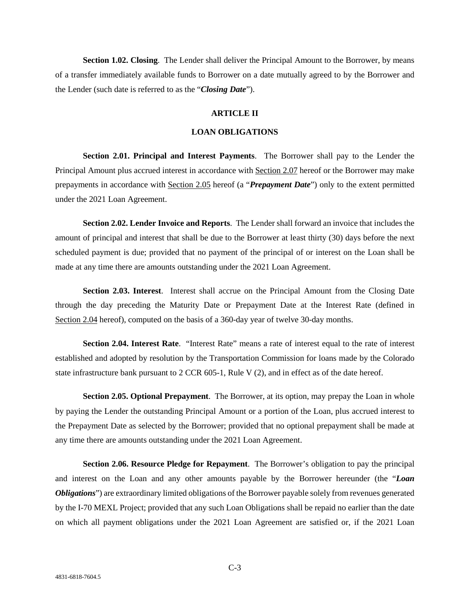**Section 1.02. Closing**. The Lender shall deliver the Principal Amount to the Borrower, by means of a transfer immediately available funds to Borrower on a date mutually agreed to by the Borrower and the Lender (such date is referred to as the "*Closing Date*").

#### **ARTICLE II**

#### **LOAN OBLIGATIONS**

**Section 2.01. Principal and Interest Payments**. The Borrower shall pay to the Lender the Principal Amount plus accrued interest in accordance with Section 2.07 hereof or the Borrower may make prepayments in accordance with Section 2.05 hereof (a "*Prepayment Date*") only to the extent permitted under the 2021 Loan Agreement.

**Section 2.02. Lender Invoice and Reports**. The Lender shall forward an invoice that includes the amount of principal and interest that shall be due to the Borrower at least thirty (30) days before the next scheduled payment is due; provided that no payment of the principal of or interest on the Loan shall be made at any time there are amounts outstanding under the 2021 Loan Agreement.

**Section 2.03. Interest**. Interest shall accrue on the Principal Amount from the Closing Date through the day preceding the Maturity Date or Prepayment Date at the Interest Rate (defined in Section 2.04 hereof), computed on the basis of a 360-day year of twelve 30-day months.

**Section 2.04. Interest Rate**. "Interest Rate" means a rate of interest equal to the rate of interest established and adopted by resolution by the Transportation Commission for loans made by the Colorado state infrastructure bank pursuant to 2 CCR 605-1, Rule V (2), and in effect as of the date hereof.

**Section 2.05. Optional Prepayment**. The Borrower, at its option, may prepay the Loan in whole by paying the Lender the outstanding Principal Amount or a portion of the Loan, plus accrued interest to the Prepayment Date as selected by the Borrower; provided that no optional prepayment shall be made at any time there are amounts outstanding under the 2021 Loan Agreement.

**Section 2.06. Resource Pledge for Repayment**. The Borrower's obligation to pay the principal and interest on the Loan and any other amounts payable by the Borrower hereunder (the "*Loan Obligations*") are extraordinary limited obligations of the Borrower payable solely from revenues generated by the I-70 MEXL Project; provided that any such Loan Obligations shall be repaid no earlier than the date on which all payment obligations under the 2021 Loan Agreement are satisfied or, if the 2021 Loan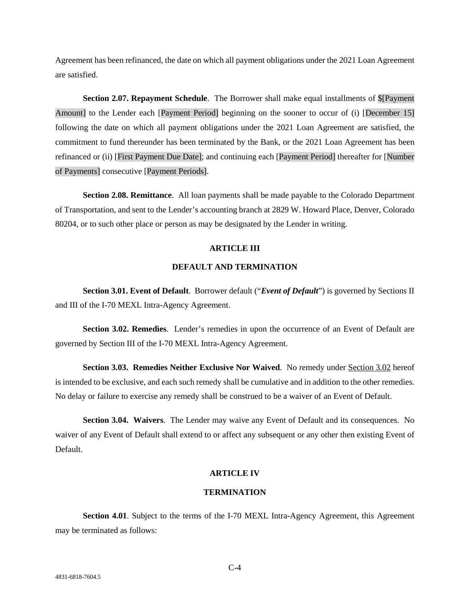Agreement has been refinanced, the date on which all payment obligations under the 2021 Loan Agreement are satisfied.

**Section 2.07. Repayment Schedule**. The Borrower shall make equal installments of \$[Payment Amount] to the Lender each [Payment Period] beginning on the sooner to occur of (i) [December 15] following the date on which all payment obligations under the 2021 Loan Agreement are satisfied, the commitment to fund thereunder has been terminated by the Bank, or the 2021 Loan Agreement has been refinanced or (ii) [First Payment Due Date]; and continuing each [Payment Period] thereafter for [Number of Payments] consecutive [Payment Periods].

**Section 2.08. Remittance**. All loan payments shall be made payable to the Colorado Department of Transportation, and sent to the Lender's accounting branch at 2829 W. Howard Place, Denver, Colorado 80204, or to such other place or person as may be designated by the Lender in writing.

#### **ARTICLE III**

#### **DEFAULT AND TERMINATION**

**Section 3.01. Event of Default**. Borrower default ("*Event of Default*") is governed by Sections II and III of the I-70 MEXL Intra-Agency Agreement.

**Section 3.02. Remedies**. Lender's remedies in upon the occurrence of an Event of Default are governed by Section III of the I-70 MEXL Intra-Agency Agreement.

**Section 3.03. Remedies Neither Exclusive Nor Waived**. No remedy under Section 3.02 hereof is intended to be exclusive, and each such remedy shall be cumulative and in addition to the other remedies. No delay or failure to exercise any remedy shall be construed to be a waiver of an Event of Default.

**Section 3.04. Waivers**. The Lender may waive any Event of Default and its consequences. No waiver of any Event of Default shall extend to or affect any subsequent or any other then existing Event of Default.

#### **ARTICLE IV**

#### **TERMINATION**

**Section 4.01.** Subject to the terms of the I-70 MEXL Intra-Agency Agreement, this Agreement may be terminated as follows: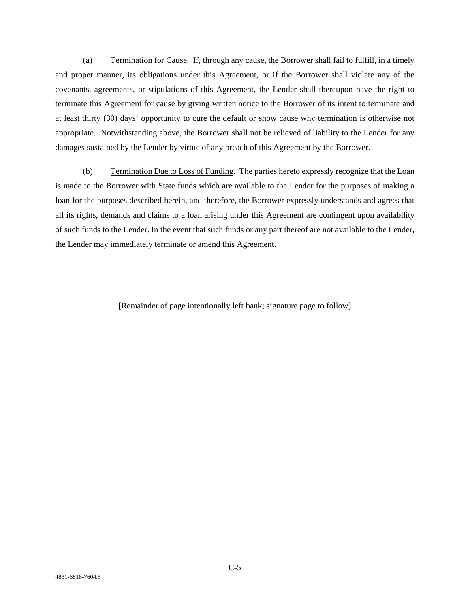(a) Termination for Cause. If, through any cause, the Borrower shall fail to fulfill, in a timely and proper manner, its obligations under this Agreement, or if the Borrower shall violate any of the covenants, agreements, or stipulations of this Agreement, the Lender shall thereupon have the right to terminate this Agreement for cause by giving written notice to the Borrower of its intent to terminate and at least thirty (30) days' opportunity to cure the default or show cause why termination is otherwise not appropriate. Notwithstanding above, the Borrower shall not be relieved of liability to the Lender for any damages sustained by the Lender by virtue of any breach of this Agreement by the Borrower.

(b) Termination Due to Loss of Funding. The parties hereto expressly recognize that the Loan is made to the Borrower with State funds which are available to the Lender for the purposes of making a loan for the purposes described herein, and therefore, the Borrower expressly understands and agrees that all its rights, demands and claims to a loan arising under this Agreement are contingent upon availability of such funds to the Lender. In the event that such funds or any part thereof are not available to the Lender, the Lender may immediately terminate or amend this Agreement.

[Remainder of page intentionally left bank; signature page to follow]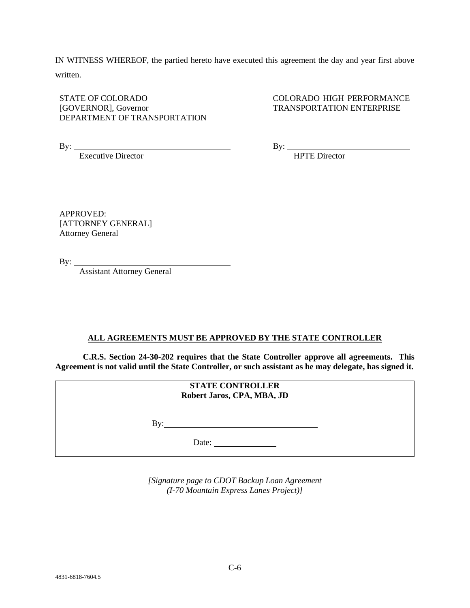IN WITNESS WHEREOF, the partied hereto have executed this agreement the day and year first above written.

STATE OF COLORADO [GOVERNOR], Governor DEPARTMENT OF TRANSPORTATION COLORADO HIGH PERFORMANCE TRANSPORTATION ENTERPRISE

By:

Executive Director

By:  $\overline{\phantom{a}}$ 

HPTE Director

APPROVED: [ATTORNEY GENERAL] Attorney General

By:

Assistant Attorney General

#### **ALL AGREEMENTS MUST BE APPROVED BY THE STATE CONTROLLER**

**C.R.S. Section 24-30-202 requires that the State Controller approve all agreements. This Agreement is not valid until the State Controller, or such assistant as he may delegate, has signed it.**

| <b>STATE CONTROLLER</b><br>Robert Jaros, CPA, MBA, JD |  |
|-------------------------------------------------------|--|
| Bv:                                                   |  |
| Date:                                                 |  |

*[Signature page to CDOT Backup Loan Agreement (I-70 Mountain Express Lanes Project)]*